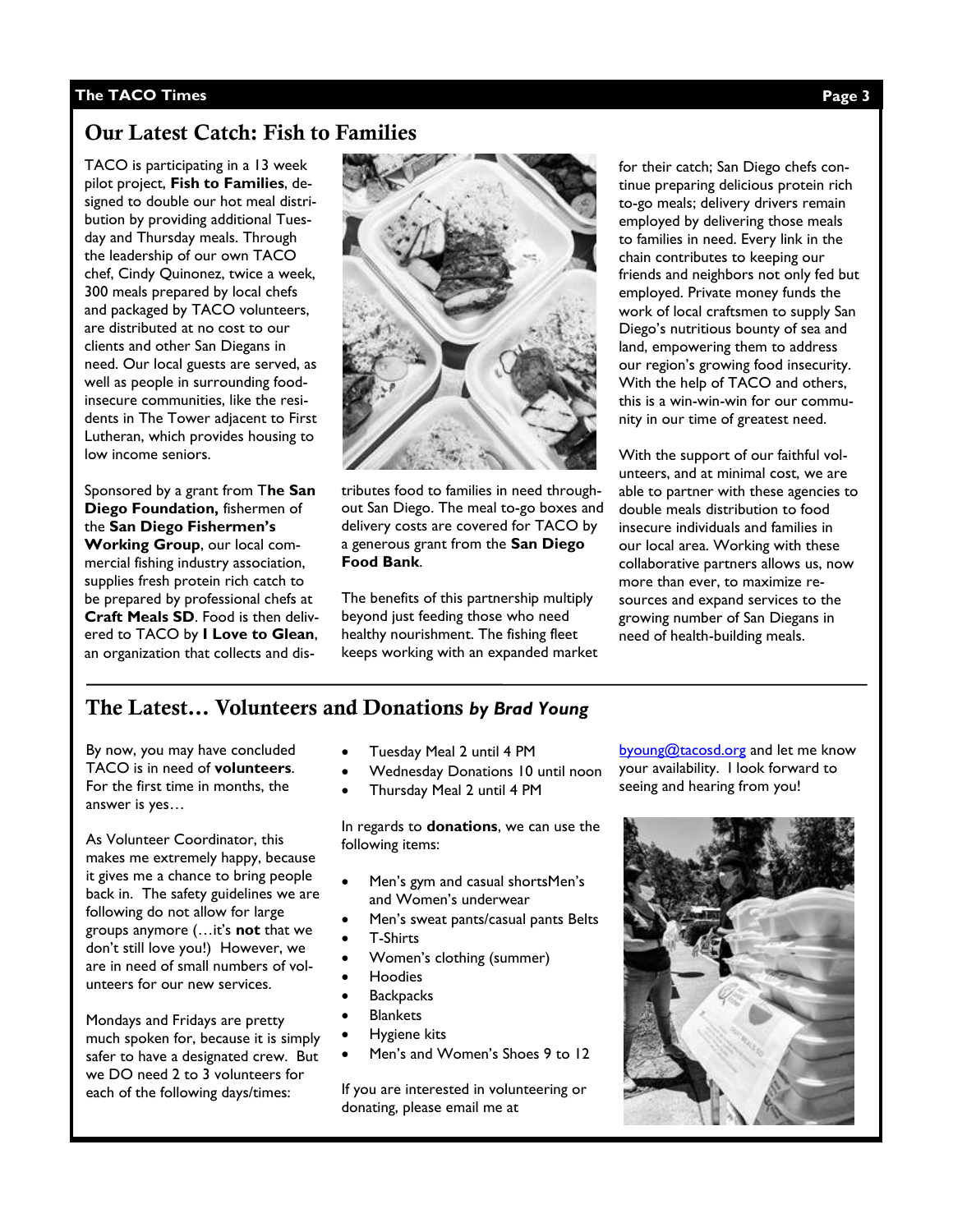#### The TACO Times **The TACO Times Page 3** Page 5

### **Our Latest Catch: Fish to Families**

TACO is participating in a 13 week pilot project, **Fish to Families**, designed to double our hot meal distribution by providing additional Tuesday and Thursday meals. Through the leadership of our own TACO chef, Cindy Quinonez, twice a week, 300 meals prepared by local chefs and packaged by TACO volunteers, are distributed at no cost to our clients and other San Diegans in need. Our local guests are served, as well as people in surrounding foodinsecure communities, like the residents in The Tower adjacent to First Lutheran, which provides housing to low income seniors.

Sponsored by a grant from T**he San Diego Foundation,** fishermen of the **San Diego Fishermen's Working Group**, our local commercial fishing industry association, supplies fresh protein rich catch to be prepared by professional chefs at **Craft Meals SD**. Food is then delivered to TACO by **I Love to Glean**, an organization that collects and dis-



tributes food to families in need throughout San Diego. The meal to-go boxes and delivery costs are covered for TACO by a generous grant from the **San Diego Food Bank**.

The benefits of this partnership multiply beyond just feeding those who need healthy nourishment. The fishing fleet keeps working with an expanded market for their catch; San Diego chefs continue preparing delicious protein rich to-go meals; delivery drivers remain employed by delivering those meals to families in need. Every link in the chain contributes to keeping our friends and neighbors not only fed but employed. Private money funds the work of local craftsmen to supply San Diego's nutritious bounty of sea and land, empowering them to address our region's growing food insecurity. With the help of TACO and others, this is a win-win-win for our community in our time of greatest need.

With the support of our faithful volunteers, and at minimal cost, we are able to partner with these agencies to double meals distribution to food insecure individuals and families in our local area. Working with these collaborative partners allows us, now more than ever, to maximize resources and expand services to the growing number of San Diegans in need of health-building meals.

## **The Latest… Volunteers and Donations** *by Brad Young*

By now, you may have concluded TACO is in need of **volunteers**. For the first time in months, the answer is yes…

As Volunteer Coordinator, this makes me extremely happy, because it gives me a chance to bring people back in. The safety guidelines we are following do not allow for large groups anymore (…it's **not** that we don't still love you!) However, we are in need of small numbers of volunteers for our new services.

Mondays and Fridays are pretty much spoken for, because it is simply safer to have a designated crew. But we DO need 2 to 3 volunteers for each of the following days/times:

- Tuesday Meal 2 until 4 PM
- Wednesday Donations 10 until noon
- Thursday Meal 2 until 4 PM

In regards to **donations**, we can use the following items:

- Men's gym and casual shortsMen's and Women's underwear
- Men's sweat pants/casual pants Belts
- T-Shirts
- Women's clothing (summer)
- Hoodies
- **Backpacks**
- **Blankets**
- Hygiene kits
- Men's and Women's Shoes 9 to 12

If you are interested in volunteering or donating, please email me at

[byoung@tacosd.org](mailto:byoung@tacosd.org) and let me know your availability. I look forward to seeing and hearing from you!